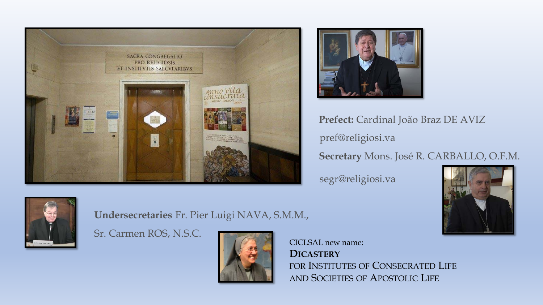



**Prefect:** Cardinal João Braz DE AVIZ pref@religiosi.va **Secretary** Mons. José R. CARBALLO, O.F.M.

segr@religiosi.va





## **Undersecretaries** Fr. Pier Luigi NAVA, S.M.M.,

Sr. Carmen ROS, N.S.C.



CICLSAL new name: **DICASTERY** FOR INSTITUTES OF CONSECRATED LIFE AND SOCIETIES OF APOSTOLIC LIFE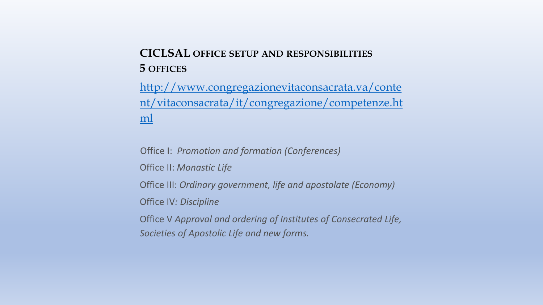# **CICLSAL OFFICE SETUP AND RESPONSIBILITIES 5 OFFICES**

http://www.congregazionevitaconsacrata.va/conte [nt/vitaconsacrata/it/congregazione/competenze.ht](http://www.congregazionevitaconsacrata.va/content/vitaconsacrata/it/congregazione/competenze.html) ml

Office I: *Promotion and formation (Conferences)*

Office II: *Monastic Life*

Office III: *Ordinary government, life and apostolate (Economy)*

Office IV*: Discipline*

Office V *Approval and ordering of Institutes of Consecrated Life, Societies of Apostolic Life and new forms.*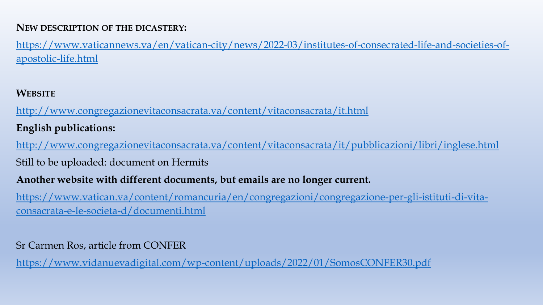## **NEW DESCRIPTION OF THE DICASTERY:**

[https://www.vaticannews.va/en/vatican-city/news/2022-03/institutes-of-consecrated-life-and-societies-of](https://www.vaticannews.va/en/vatican-city/news/2022-03/institutes-of-consecrated-life-and-societies-of-apostolic-life.html)apostolic-life.html

**WEBSITE**

<http://www.congregazionevitaconsacrata.va/content/vitaconsacrata/it.html>

**English publications:**

<http://www.congregazionevitaconsacrata.va/content/vitaconsacrata/it/pubblicazioni/libri/inglese.html>

Still to be uploaded: document on Hermits

**Another website with different documents, but emails are no longer current.**

[https://www.vatican.va/content/romancuria/en/congregazioni/congregazione-per-gli-istituti-di-vita](https://www.vatican.va/content/romancuria/en/congregazioni/congregazione-per-gli-istituti-di-vita-consacrata-e-le-societa-d/documenti.html)consacrata-e-le-societa-d/documenti.html

## Sr Carmen Ros, article from CONFER

<https://www.vidanuevadigital.com/wp-content/uploads/2022/01/SomosCONFER30.pdf>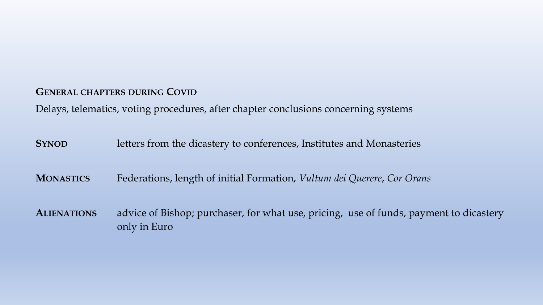#### **GENERAL CHAPTERS DURING COVID**

Delays, telematics, voting procedures, after chapter conclusions concerning systems

| <b>SYNOD</b> |  |  | letters from the dicastery to conferences, Institutes and Monasteries |
|--------------|--|--|-----------------------------------------------------------------------|
|--------------|--|--|-----------------------------------------------------------------------|

**MONASTICS** Federations, length of initial Formation, *Vultum dei Querere*, *Cor Orans*

**ALIENATIONS** advice of Bishop; purchaser, for what use, pricing, use of funds, payment to dicastery only in Euro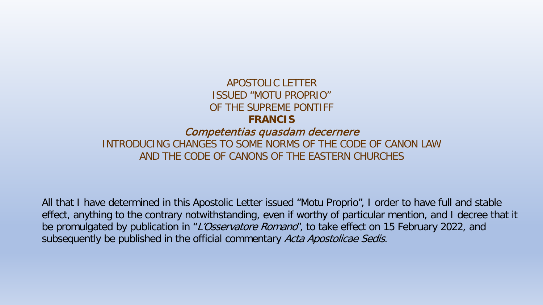### APOSTOLIC LETTER ISSUED "MOTU PROPRIO" OF THE SUPREME PONTIFF **FRANCIS** Competentias quasdam decernere INTRODUCING CHANGES TO SOME NORMS OF THE CODE OF CANON LAW AND THE CODE OF CANONS OF THE EASTERN CHURCHES

All that I have determined in this Apostolic Letter issued "Motu Proprio", I order to have full and stable effect, anything to the contrary notwithstanding, even if worthy of particular mention, and I decree that it be promulgated by publication in "L'Osservatore Romano", to take effect on 15 February 2022, and subsequently be published in the official commentary Acta Apostolicae Sedis.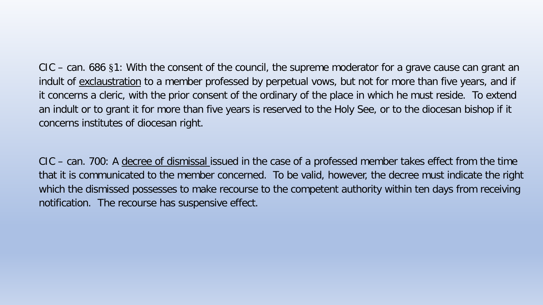CIC – can. 686 §1: With the consent of the council, the supreme moderator for a grave cause can grant an indult of exclaustration to a member professed by perpetual vows, but not for more than five years, and if it concerns a cleric, with the prior consent of the ordinary of the place in which he must reside. To extend an indult or to grant it for more than five years is reserved to the Holy See, or to the diocesan bishop if it concerns institutes of diocesan right.

CIC – can. 700: A decree of dismissal issued in the case of a professed member takes effect from the time that it is communicated to the member concerned. To be valid, however, the decree must indicate the right which the dismissed possesses to make recourse to the competent authority within ten days from receiving notification. The recourse has suspensive effect.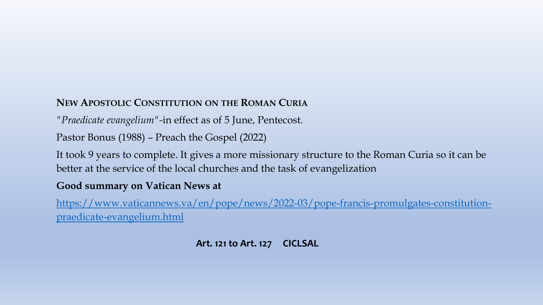## **NEW APOSTOLIC CONSTITUTION ON THE ROMAN CURIA**

*"Praedicate evangelium"-*in effect as of 5 June, Pentecost*.* 

Pastor Bonus (1988) – Preach the Gospel (2022)

It took 9 years to complete. It gives a more missionary structure to the Roman Curia so it can be better at the service of the local churches and the task of evangelization

## **Good summary on Vatican News at**

[https://www.vaticannews.va/en/pope/news/2022-03/pope-francis-promulgates-constitution](https://www.vaticannews.va/en/pope/news/2022-03/pope-francis-promulgates-constitution-praedicate-evangelium.html)praedicate-evangelium.html

## **Art. 121 to Art. 127 CICLSAL**